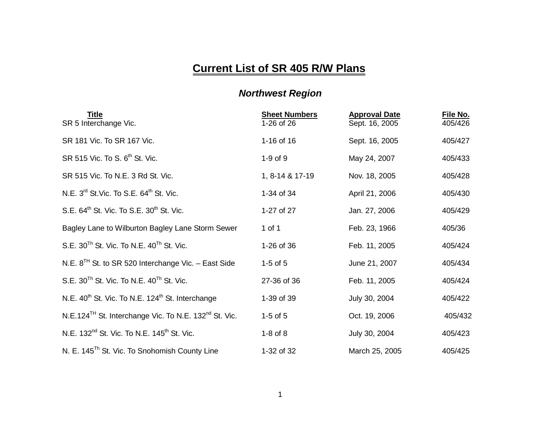## **Current List of SR 405 R/W Plans**

## *Northwest Region*

| <u>Title</u><br>SR 5 Interchange Vic.                                         | <b>Sheet Numbers</b><br>1-26 of 26 | <b>Approval Date</b><br>Sept. 16, 2005 | File No.<br>405/426 |
|-------------------------------------------------------------------------------|------------------------------------|----------------------------------------|---------------------|
| SR 181 Vic. To SR 167 Vic.                                                    | 1-16 of 16                         | Sept. 16, 2005                         | 405/427             |
| SR 515 Vic. To S. 6 <sup>th</sup> St. Vic.                                    | $1-9$ of $9$                       | May 24, 2007                           | 405/433             |
| SR 515 Vic. To N.E. 3 Rd St. Vic.                                             | 1, 8-14 & 17-19                    | Nov. 18, 2005                          | 405/428             |
| N.E. $3^{rd}$ St. Vic. To S.E. $64^{th}$ St. Vic.                             | 1-34 of 34                         | April 21, 2006                         | 405/430             |
| S.E. 64 <sup>th</sup> St. Vic. To S.E. 30 <sup>th</sup> St. Vic.              | 1-27 of 27                         | Jan. 27, 2006                          | 405/429             |
| Bagley Lane to Wilburton Bagley Lane Storm Sewer                              | 1 of 1                             | Feb. 23, 1966                          | 405/36              |
| S.E. $30^{Th}$ St. Vic. To N.E. $40^{Th}$ St. Vic.                            | 1-26 of 36                         | Feb. 11, 2005                          | 405/424             |
| N.E. $8^{TH}$ St. to SR 520 Interchange Vic. - East Side                      | $1-5$ of $5$                       | June 21, 2007                          | 405/434             |
| S.E. $30^{Th}$ St. Vic. To N.E. $40^{Th}$ St. Vic.                            | 27-36 of 36                        | Feb. 11, 2005                          | 405/424             |
| N.E. 40 <sup>th</sup> St. Vic. To N.E. 124 <sup>th</sup> St. Interchange      | 1-39 of 39                         | July 30, 2004                          | 405/422             |
| N.E.124 <sup>TH</sup> St. Interchange Vic. To N.E. 132 <sup>nd</sup> St. Vic. | $1-5$ of $5$                       | Oct. 19, 2006                          | 405/432             |
| N.E. 132 <sup>nd</sup> St. Vic. To N.E. 145 <sup>th</sup> St. Vic.            | $1-8$ of $8$                       | July 30, 2004                          | 405/423             |
| N. E. 145 <sup>Th</sup> St. Vic. To Snohomish County Line                     | 1-32 of 32                         | March 25, 2005                         | 405/425             |